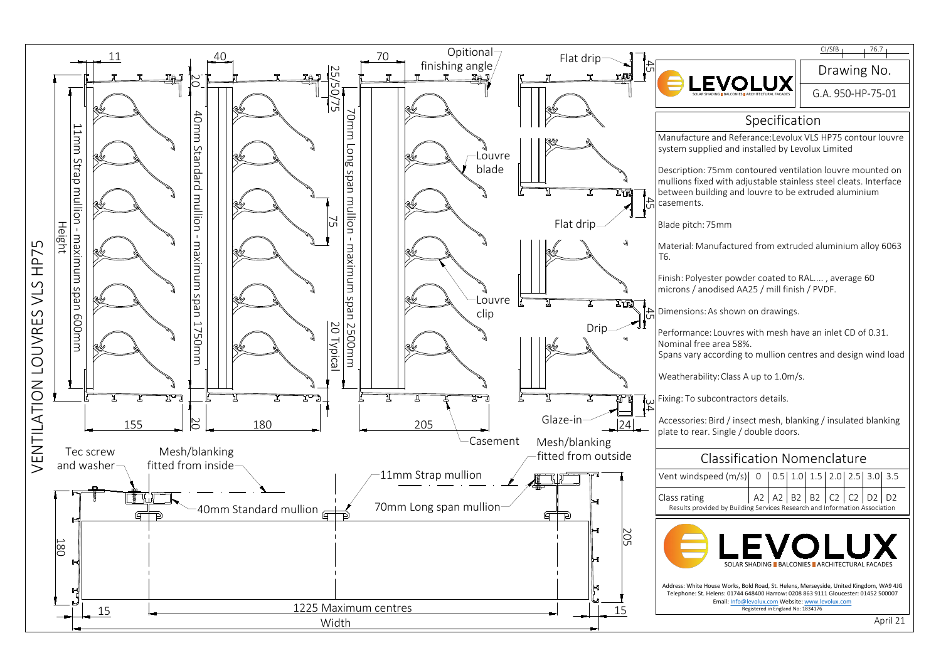